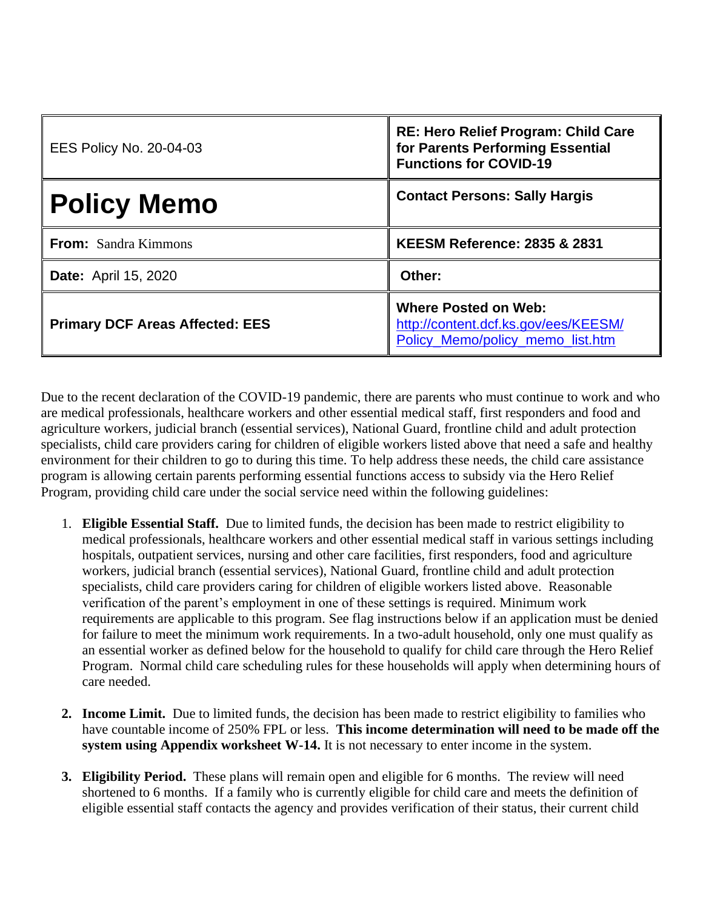| <b>EES Policy No. 20-04-03</b>         | RE: Hero Relief Program: Child Care<br>for Parents Performing Essential<br><b>Functions for COVID-19</b> |
|----------------------------------------|----------------------------------------------------------------------------------------------------------|
| <b>Policy Memo</b>                     | <b>Contact Persons: Sally Hargis</b>                                                                     |
| <b>From:</b> Sandra Kimmons            | <b>KEESM Reference: 2835 &amp; 2831</b>                                                                  |
| <b>Date:</b> April 15, 2020            | Other:                                                                                                   |
| <b>Primary DCF Areas Affected: EES</b> | <b>Where Posted on Web:</b><br>http://content.dcf.ks.gov/ees/KEESM/<br>Policy_Memo/policy_memo_list.htm  |

Due to the recent declaration of the COVID-19 pandemic, there are parents who must continue to work and who are medical professionals, healthcare workers and other essential medical staff, first responders and food and agriculture workers, judicial branch (essential services), National Guard, frontline child and adult protection specialists, child care providers caring for children of eligible workers listed above that need a safe and healthy environment for their children to go to during this time. To help address these needs, the child care assistance program is allowing certain parents performing essential functions access to subsidy via the Hero Relief Program, providing child care under the social service need within the following guidelines:

- 1. **Eligible Essential Staff.** Due to limited funds, the decision has been made to restrict eligibility to medical professionals, healthcare workers and other essential medical staff in various settings including hospitals, outpatient services, nursing and other care facilities, first responders, food and agriculture workers, judicial branch (essential services), National Guard, frontline child and adult protection specialists, child care providers caring for children of eligible workers listed above. Reasonable verification of the parent's employment in one of these settings is required. Minimum work requirements are applicable to this program. See flag instructions below if an application must be denied for failure to meet the minimum work requirements. In a two-adult household, only one must qualify as an essential worker as defined below for the household to qualify for child care through the Hero Relief Program. Normal child care scheduling rules for these households will apply when determining hours of care needed.
- **2. Income Limit.** Due to limited funds, the decision has been made to restrict eligibility to families who have countable income of 250% FPL or less. **This income determination will need to be made off the system using Appendix worksheet W-14.** It is not necessary to enter income in the system.
- **3. Eligibility Period.** These plans will remain open and eligible for 6 months. The review will need shortened to 6 months. If a family who is currently eligible for child care and meets the definition of eligible essential staff contacts the agency and provides verification of their status, their current child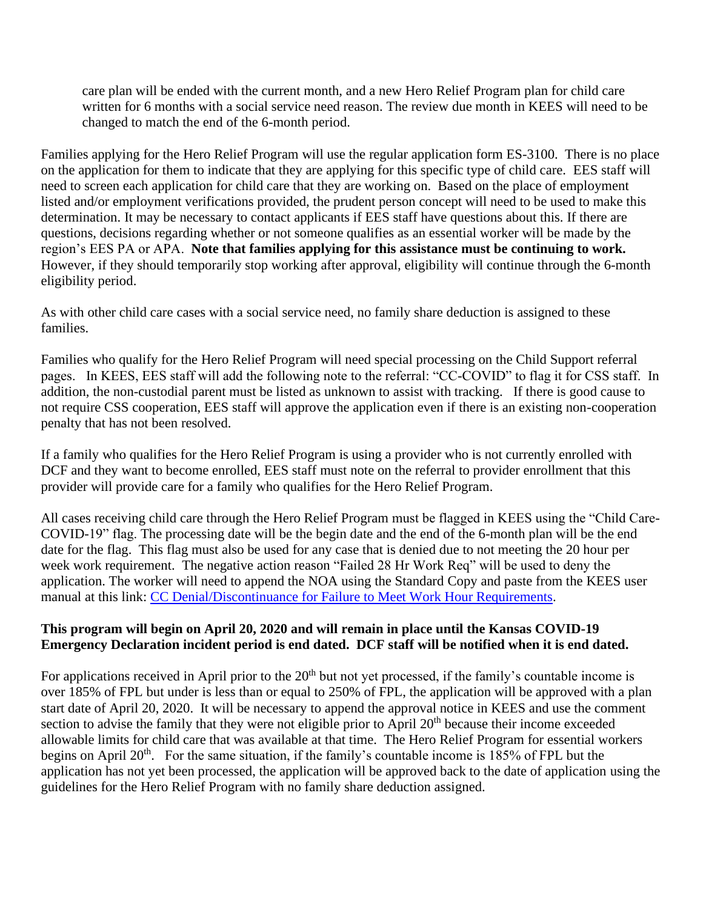care plan will be ended with the current month, and a new Hero Relief Program plan for child care written for 6 months with a social service need reason. The review due month in KEES will need to be changed to match the end of the 6-month period.

Families applying for the Hero Relief Program will use the regular application form ES-3100. There is no place on the application for them to indicate that they are applying for this specific type of child care. EES staff will need to screen each application for child care that they are working on. Based on the place of employment listed and/or employment verifications provided, the prudent person concept will need to be used to make this determination. It may be necessary to contact applicants if EES staff have questions about this. If there are questions, decisions regarding whether or not someone qualifies as an essential worker will be made by the region's EES PA or APA. **Note that families applying for this assistance must be continuing to work.**  However, if they should temporarily stop working after approval, eligibility will continue through the 6-month eligibility period.

As with other child care cases with a social service need, no family share deduction is assigned to these families.

Families who qualify for the Hero Relief Program will need special processing on the Child Support referral pages. In KEES, EES staff will add the following note to the referral: "CC-COVID" to flag it for CSS staff. In addition, the non-custodial parent must be listed as unknown to assist with tracking. If there is good cause to not require CSS cooperation, EES staff will approve the application even if there is an existing non-cooperation penalty that has not been resolved.

If a family who qualifies for the Hero Relief Program is using a provider who is not currently enrolled with DCF and they want to become enrolled, EES staff must note on the referral to provider enrollment that this provider will provide care for a family who qualifies for the Hero Relief Program.

All cases receiving child care through the Hero Relief Program must be flagged in KEES using the "Child Care-COVID-19" flag. The processing date will be the begin date and the end of the 6-month plan will be the end date for the flag. This flag must also be used for any case that is denied due to not meeting the 20 hour per week work requirement. The negative action reason "Failed 28 Hr Work Req" will be used to deny the application. The worker will need to append the NOA using the Standard Copy and paste from the KEES user manual at this link: [CC Denial/Discontinuance for Failure to Meet Work Hour Requirements.](http://dcfnet.dcf.ks.gov/Pages/Home.aspx)

## **This program will begin on April 20, 2020 and will remain in place until the Kansas COVID-19 Emergency Declaration incident period is end dated. DCF staff will be notified when it is end dated.**

For applications received in April prior to the  $20<sup>th</sup>$  but not yet processed, if the family's countable income is over 185% of FPL but under is less than or equal to 250% of FPL, the application will be approved with a plan start date of April 20, 2020. It will be necessary to append the approval notice in KEES and use the comment section to advise the family that they were not eligible prior to April 20<sup>th</sup> because their income exceeded allowable limits for child care that was available at that time. The Hero Relief Program for essential workers begins on April  $20<sup>th</sup>$ . For the same situation, if the family's countable income is 185% of FPL but the application has not yet been processed, the application will be approved back to the date of application using the guidelines for the Hero Relief Program with no family share deduction assigned.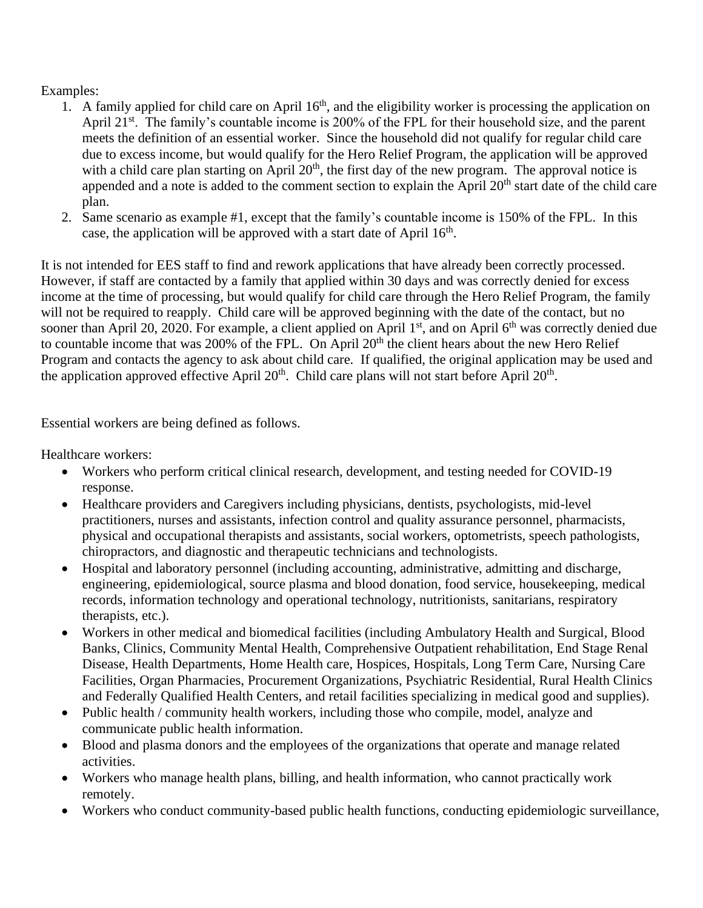## Examples:

- 1. A family applied for child care on April  $16<sup>th</sup>$ , and the eligibility worker is processing the application on April 21<sup>st</sup>. The family's countable income is 200% of the FPL for their household size, and the parent meets the definition of an essential worker. Since the household did not qualify for regular child care due to excess income, but would qualify for the Hero Relief Program, the application will be approved with a child care plan starting on April  $20<sup>th</sup>$ , the first day of the new program. The approval notice is appended and a note is added to the comment section to explain the April  $20<sup>th</sup>$  start date of the child care plan.
- 2. Same scenario as example #1, except that the family's countable income is 150% of the FPL. In this case, the application will be approved with a start date of April  $16<sup>th</sup>$ .

It is not intended for EES staff to find and rework applications that have already been correctly processed. However, if staff are contacted by a family that applied within 30 days and was correctly denied for excess income at the time of processing, but would qualify for child care through the Hero Relief Program, the family will not be required to reapply. Child care will be approved beginning with the date of the contact, but no sooner than April 20, 2020. For example, a client applied on April 1<sup>st</sup>, and on April 6<sup>th</sup> was correctly denied due to countable income that was 200% of the FPL. On April 20<sup>th</sup> the client hears about the new Hero Relief Program and contacts the agency to ask about child care. If qualified, the original application may be used and the application approved effective April  $20<sup>th</sup>$ . Child care plans will not start before April  $20<sup>th</sup>$ .

Essential workers are being defined as follows.

Healthcare workers:

- Workers who perform critical clinical research, development, and testing needed for COVID-19 response.
- Healthcare providers and Caregivers including physicians, dentists, psychologists, mid-level practitioners, nurses and assistants, infection control and quality assurance personnel, pharmacists, physical and occupational therapists and assistants, social workers, optometrists, speech pathologists, chiropractors, and diagnostic and therapeutic technicians and technologists.
- Hospital and laboratory personnel (including accounting, administrative, admitting and discharge, engineering, epidemiological, source plasma and blood donation, food service, housekeeping, medical records, information technology and operational technology, nutritionists, sanitarians, respiratory therapists, etc.).
- Workers in other medical and biomedical facilities (including Ambulatory Health and Surgical, Blood Banks, Clinics, Community Mental Health, Comprehensive Outpatient rehabilitation, End Stage Renal Disease, Health Departments, Home Health care, Hospices, Hospitals, Long Term Care, Nursing Care Facilities, Organ Pharmacies, Procurement Organizations, Psychiatric Residential, Rural Health Clinics and Federally Qualified Health Centers, and retail facilities specializing in medical good and supplies).
- Public health / community health workers, including those who compile, model, analyze and communicate public health information.
- Blood and plasma donors and the employees of the organizations that operate and manage related activities.
- Workers who manage health plans, billing, and health information, who cannot practically work remotely.
- Workers who conduct community-based public health functions, conducting epidemiologic surveillance,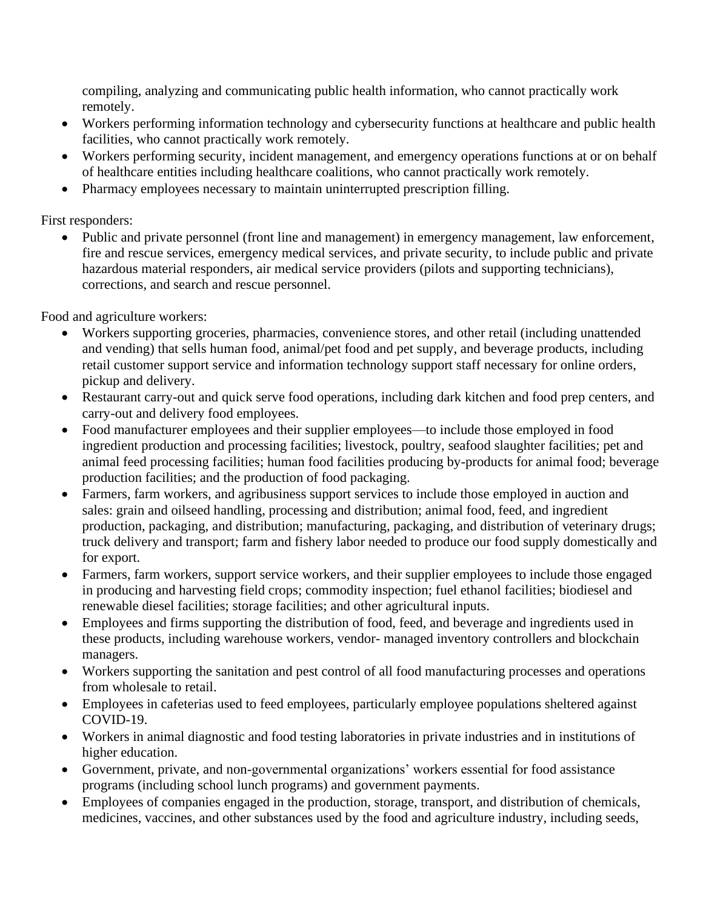compiling, analyzing and communicating public health information, who cannot practically work remotely.

- Workers performing information technology and cybersecurity functions at healthcare and public health facilities, who cannot practically work remotely.
- Workers performing security, incident management, and emergency operations functions at or on behalf of healthcare entities including healthcare coalitions, who cannot practically work remotely.
- Pharmacy employees necessary to maintain uninterrupted prescription filling.

First responders:

• Public and private personnel (front line and management) in emergency management, law enforcement, fire and rescue services, emergency medical services, and private security, to include public and private hazardous material responders, air medical service providers (pilots and supporting technicians), corrections, and search and rescue personnel.

Food and agriculture workers:

- Workers supporting groceries, pharmacies, convenience stores, and other retail (including unattended and vending) that sells human food, animal/pet food and pet supply, and beverage products, including retail customer support service and information technology support staff necessary for online orders, pickup and delivery.
- Restaurant carry-out and quick serve food operations, including dark kitchen and food prep centers, and carry-out and delivery food employees.
- Food manufacturer employees and their supplier employees—to include those employed in food ingredient production and processing facilities; livestock, poultry, seafood slaughter facilities; pet and animal feed processing facilities; human food facilities producing by-products for animal food; beverage production facilities; and the production of food packaging.
- Farmers, farm workers, and agribusiness support services to include those employed in auction and sales: grain and oilseed handling, processing and distribution; animal food, feed, and ingredient production, packaging, and distribution; manufacturing, packaging, and distribution of veterinary drugs; truck delivery and transport; farm and fishery labor needed to produce our food supply domestically and for export.
- Farmers, farm workers, support service workers, and their supplier employees to include those engaged in producing and harvesting field crops; commodity inspection; fuel ethanol facilities; biodiesel and renewable diesel facilities; storage facilities; and other agricultural inputs.
- Employees and firms supporting the distribution of food, feed, and beverage and ingredients used in these products, including warehouse workers, vendor- managed inventory controllers and blockchain managers.
- Workers supporting the sanitation and pest control of all food manufacturing processes and operations from wholesale to retail.
- Employees in cafeterias used to feed employees, particularly employee populations sheltered against COVID-19.
- Workers in animal diagnostic and food testing laboratories in private industries and in institutions of higher education.
- Government, private, and non-governmental organizations' workers essential for food assistance programs (including school lunch programs) and government payments.
- Employees of companies engaged in the production, storage, transport, and distribution of chemicals, medicines, vaccines, and other substances used by the food and agriculture industry, including seeds,